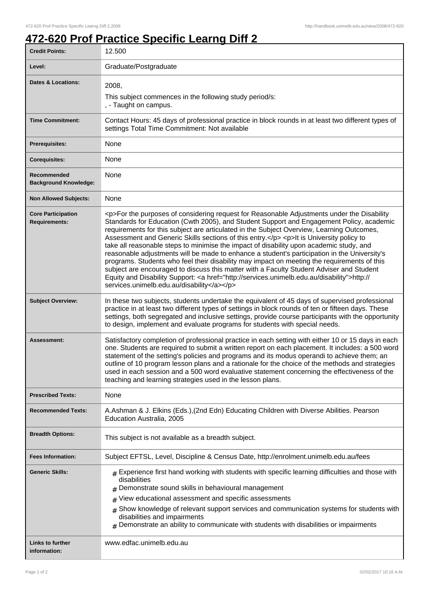## **472-620 Prof Practice Specific Learng Diff 2**

| <b>Credit Points:</b>                             | 12.500                                                                                                                                                                                                                                                                                                                                                                                                                                                                                                                                                                                                                                                                                                                                                                                                                                                                                                                       |
|---------------------------------------------------|------------------------------------------------------------------------------------------------------------------------------------------------------------------------------------------------------------------------------------------------------------------------------------------------------------------------------------------------------------------------------------------------------------------------------------------------------------------------------------------------------------------------------------------------------------------------------------------------------------------------------------------------------------------------------------------------------------------------------------------------------------------------------------------------------------------------------------------------------------------------------------------------------------------------------|
| Level:                                            | Graduate/Postgraduate                                                                                                                                                                                                                                                                                                                                                                                                                                                                                                                                                                                                                                                                                                                                                                                                                                                                                                        |
| <b>Dates &amp; Locations:</b>                     | 2008,<br>This subject commences in the following study period/s:<br>, - Taught on campus.                                                                                                                                                                                                                                                                                                                                                                                                                                                                                                                                                                                                                                                                                                                                                                                                                                    |
| <b>Time Commitment:</b>                           | Contact Hours: 45 days of professional practice in block rounds in at least two different types of<br>settings Total Time Commitment: Not available                                                                                                                                                                                                                                                                                                                                                                                                                                                                                                                                                                                                                                                                                                                                                                          |
| <b>Prerequisites:</b>                             | None                                                                                                                                                                                                                                                                                                                                                                                                                                                                                                                                                                                                                                                                                                                                                                                                                                                                                                                         |
| <b>Corequisites:</b>                              | None                                                                                                                                                                                                                                                                                                                                                                                                                                                                                                                                                                                                                                                                                                                                                                                                                                                                                                                         |
| Recommended<br><b>Background Knowledge:</b>       | None                                                                                                                                                                                                                                                                                                                                                                                                                                                                                                                                                                                                                                                                                                                                                                                                                                                                                                                         |
| <b>Non Allowed Subjects:</b>                      | None                                                                                                                                                                                                                                                                                                                                                                                                                                                                                                                                                                                                                                                                                                                                                                                                                                                                                                                         |
| <b>Core Participation</b><br><b>Requirements:</b> | <p>For the purposes of considering request for Reasonable Adjustments under the Disability<br/>Standards for Education (Cwth 2005), and Student Support and Engagement Policy, academic<br/>requirements for this subject are articulated in the Subject Overview, Learning Outcomes,<br/>Assessment and Generic Skills sections of this entry.</p> <p>lt is University policy to<br/>take all reasonable steps to minimise the impact of disability upon academic study, and<br/>reasonable adjustments will be made to enhance a student's participation in the University's<br/>programs. Students who feel their disability may impact on meeting the requirements of this<br/>subject are encouraged to discuss this matter with a Faculty Student Adviser and Student<br/>Equity and Disability Support: &lt; a href="http://services.unimelb.edu.au/disability"&gt;http://<br/>services.unimelb.edu.au/disability</p> |
| <b>Subject Overview:</b>                          | In these two subjects, students undertake the equivalent of 45 days of supervised professional<br>practice in at least two different types of settings in block rounds of ten or fifteen days. These<br>settings, both segregated and inclusive settings, provide course participants with the opportunity<br>to design, implement and evaluate programs for students with special needs.                                                                                                                                                                                                                                                                                                                                                                                                                                                                                                                                    |
| Assessment:                                       | Satisfactory completion of professional practice in each setting with either 10 or 15 days in each<br>one. Students are required to submit a written report on each placement. It includes: a 500 word<br>statement of the setting's policies and programs and its modus operandi to achieve them; an<br>outline of 10 program lesson plans and a rationale for the choice of the methods and strategies<br>used in each session and a 500 word evaluative statement concerning the effectiveness of the<br>teaching and learning strategies used in the lesson plans.                                                                                                                                                                                                                                                                                                                                                       |
| <b>Prescribed Texts:</b>                          | None                                                                                                                                                                                                                                                                                                                                                                                                                                                                                                                                                                                                                                                                                                                                                                                                                                                                                                                         |
| <b>Recommended Texts:</b>                         | A.Ashman & J. Elkins (Eds.), (2nd Edn) Educating Children with Diverse Abilities. Pearson<br>Education Australia, 2005                                                                                                                                                                                                                                                                                                                                                                                                                                                                                                                                                                                                                                                                                                                                                                                                       |
| <b>Breadth Options:</b>                           | This subject is not available as a breadth subject.                                                                                                                                                                                                                                                                                                                                                                                                                                                                                                                                                                                                                                                                                                                                                                                                                                                                          |
| <b>Fees Information:</b>                          | Subject EFTSL, Level, Discipline & Census Date, http://enrolment.unimelb.edu.au/fees                                                                                                                                                                                                                                                                                                                                                                                                                                                                                                                                                                                                                                                                                                                                                                                                                                         |
| <b>Generic Skills:</b>                            | $_{\text{\#}}$ Experience first hand working with students with specific learning difficulties and those with<br>disabilities<br>Demonstrate sound skills in behavioural management<br>View educational assessment and specific assessments<br>#<br>Show knowledge of relevant support services and communication systems for students with<br>#<br>disabilities and impairments<br>$#$ Demonstrate an ability to communicate with students with disabilities or impairments                                                                                                                                                                                                                                                                                                                                                                                                                                                 |
| <b>Links to further</b><br>information:           | www.edfac.unimelb.edu.au                                                                                                                                                                                                                                                                                                                                                                                                                                                                                                                                                                                                                                                                                                                                                                                                                                                                                                     |